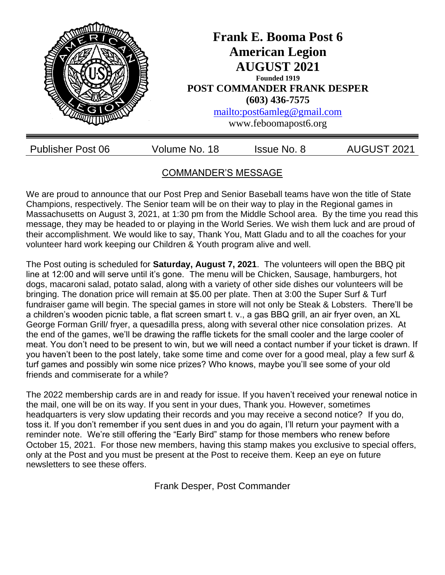

# COMMANDER'S MESSAGE

We are proud to announce that our Post Prep and Senior Baseball teams have won the title of State Champions, respectively. The Senior team will be on their way to play in the Regional games in Massachusetts on August 3, 2021, at 1:30 pm from the Middle School area. By the time you read this message, they may be headed to or playing in the World Series. We wish them luck and are proud of their accomplishment. We would like to say, Thank You, Matt Gladu and to all the coaches for your volunteer hard work keeping our Children & Youth program alive and well.

The Post outing is scheduled for **Saturday, August 7, 2021**. The volunteers will open the BBQ pit line at 12:00 and will serve until it's gone. The menu will be Chicken, Sausage, hamburgers, hot dogs, macaroni salad, potato salad, along with a variety of other side dishes our volunteers will be bringing. The donation price will remain at \$5.00 per plate. Then at 3:00 the Super Surf & Turf fundraiser game will begin. The special games in store will not only be Steak & Lobsters. There'll be a children's wooden picnic table, a flat screen smart t. v., a gas BBQ grill, an air fryer oven, an XL George Forman Grill/ fryer, a quesadilla press, along with several other nice consolation prizes. At the end of the games, we'll be drawing the raffle tickets for the small cooler and the large cooler of meat. You don't need to be present to win, but we will need a contact number if your ticket is drawn. If you haven't been to the post lately, take some time and come over for a good meal, play a few surf & turf games and possibly win some nice prizes? Who knows, maybe you'll see some of your old friends and commiserate for a while?

The 2022 membership cards are in and ready for issue. If you haven't received your renewal notice in the mail, one will be on its way. If you sent in your dues, Thank you. However, sometimes headquarters is very slow updating their records and you may receive a second notice? If you do, toss it. If you don't remember if you sent dues in and you do again, I'll return your payment with a reminder note. We're still offering the "Early Bird" stamp for those members who renew before October 15, 2021. For those new members, having this stamp makes you exclusive to special offers, only at the Post and you must be present at the Post to receive them. Keep an eye on future newsletters to see these offers.

Frank Desper, Post Commander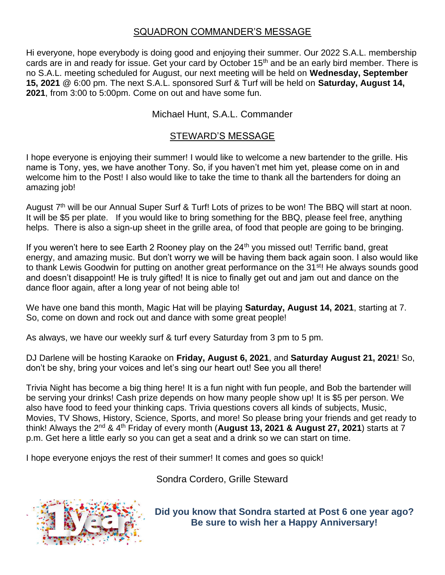### SQUADRON COMMANDER'S MESSAGE

Hi everyone, hope everybody is doing good and enjoying their summer. Our 2022 S.A.L. membership cards are in and ready for issue. Get your card by October 15<sup>th</sup> and be an early bird member. There is no S.A.L. meeting scheduled for August, our next meeting will be held on **Wednesday, September 15, 2021** @ 6:00 pm. The next S.A.L. sponsored Surf & Turf will be held on **Saturday, August 14, 2021**, from 3:00 to 5:00pm. Come on out and have some fun.

#### Michael Hunt, S.A.L. Commander

#### STEWARD'S MESSAGE

I hope everyone is enjoying their summer! I would like to welcome a new bartender to the grille. His name is Tony, yes, we have another Tony. So, if you haven't met him yet, please come on in and welcome him to the Post! I also would like to take the time to thank all the bartenders for doing an amazing job!

August 7<sup>th</sup> will be our Annual Super Surf & Turf! Lots of prizes to be won! The BBQ will start at noon. It will be \$5 per plate. If you would like to bring something for the BBQ, please feel free, anything helps. There is also a sign-up sheet in the grille area, of food that people are going to be bringing.

If you weren't here to see Earth 2 Rooney play on the 24<sup>th</sup> you missed out! Terrific band, great energy, and amazing music. But don't worry we will be having them back again soon. I also would like to thank Lewis Goodwin for putting on another great performance on the 31<sup>st</sup>! He always sounds good and doesn't disappoint! He is truly gifted! It is nice to finally get out and jam out and dance on the dance floor again, after a long year of not being able to!

We have one band this month, Magic Hat will be playing **Saturday, August 14, 2021**, starting at 7. So, come on down and rock out and dance with some great people!

As always, we have our weekly surf & turf every Saturday from 3 pm to 5 pm.

DJ Darlene will be hosting Karaoke on **Friday, August 6, 2021**, and **Saturday August 21, 2021**! So, don't be shy, bring your voices and let's sing our heart out! See you all there!

Trivia Night has become a big thing here! It is a fun night with fun people, and Bob the bartender will be serving your drinks! Cash prize depends on how many people show up! It is \$5 per person. We also have food to feed your thinking caps. Trivia questions covers all kinds of subjects, Music, Movies, TV Shows, History, Science, Sports, and more! So please bring your friends and get ready to think! Always the 2nd & 4th Friday of every month (**August 13, 2021 & August 27, 2021**) starts at 7 p.m. Get here a little early so you can get a seat and a drink so we can start on time.

I hope everyone enjoys the rest of their summer! It comes and goes so quick!

Sondra Cordero, Grille Steward



**Did you know that Sondra started at Post 6 one year ago? Be sure to wish her a Happy Anniversary!**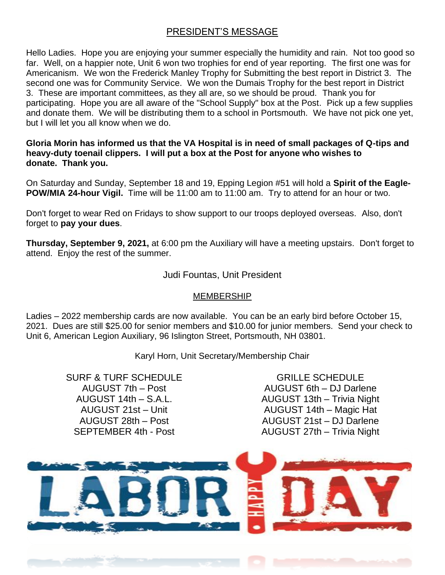## PRESIDENT'S MESSAGE

Hello Ladies. Hope you are enjoying your summer especially the humidity and rain. Not too good so far. Well, on a happier note, Unit 6 won two trophies for end of year reporting. The first one was for Americanism. We won the Frederick Manley Trophy for Submitting the best report in District 3. The second one was for Community Service. We won the Dumais Trophy for the best report in District 3. These are important committees, as they all are, so we should be proud. Thank you for participating. Hope you are all aware of the "School Supply" box at the Post. Pick up a few supplies and donate them. We will be distributing them to a school in Portsmouth. We have not pick one yet, but I will let you all know when we do.

**Gloria Morin has informed us that the VA Hospital is in need of small packages of Q-tips and heavy-duty toenail clippers. I will put a box at the Post for anyone who wishes to donate. Thank you.**

On Saturday and Sunday, September 18 and 19, Epping Legion #51 will hold a **Spirit of the Eagle-POW/MIA 24-hour Vigil.** Time will be 11:00 am to 11:00 am. Try to attend for an hour or two.

Don't forget to wear Red on Fridays to show support to our troops deployed overseas. Also, don't forget to **pay your dues**.

**Thursday, September 9, 2021,** at 6:00 pm the Auxiliary will have a meeting upstairs. Don't forget to attend. Enjoy the rest of the summer.

#### Judi Fountas, Unit President

#### MEMBERSHIP

Ladies – 2022 membership cards are now available. You can be an early bird before October 15, 2021. Dues are still \$25.00 for senior members and \$10.00 for junior members. Send your check to Unit 6, American Legion Auxiliary, 96 Islington Street, Portsmouth, NH 03801.

Karyl Horn, Unit Secretary/Membership Chair

SURF & TURF SCHEDULE AUGUST 7th – Post AUGUST 14th – S.A.L. AUGUST 21st – Unit AUGUST 28th – Post SEPTEMBER 4th - Post

GRILLE SCHEDULE AUGUST 6th – DJ Darlene AUGUST 13th – Trivia Night AUGUST 14th – Magic Hat AUGUST 21st – DJ Darlene AUGUST 27th – Trivia Night